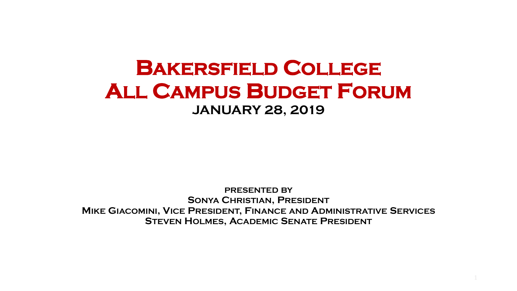#### **BAKERSFIELD COLLEGE ALL CAMPUS BUDGET FORUM JANUARY 28, 2019**

**PRESENTED BY SONYA CHRISTIAN, PRESIDENT MIKE GIACOMINI, VICE PRESIDENT, FINANCE AND ADMINISTRATIVE SERVICES STEVEN HOLMES, ACADEMIC SENATE PRESIDENT**

1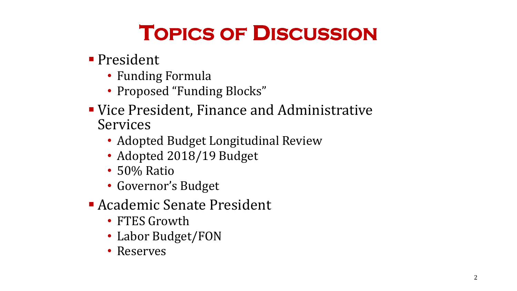## **TOPICS OF DISCUSSION**

- **President** 
	- Funding Formula
	- Proposed "Funding Blocks"
- Vice President, Finance and Administrative Services
	- Adopted Budget Longitudinal Review
	- Adopted 2018/19 Budget
	- 50% Ratio
	- Governor's Budget
- Academic Senate President
	- FTES Growth
	- Labor Budget/FON
	- Reserves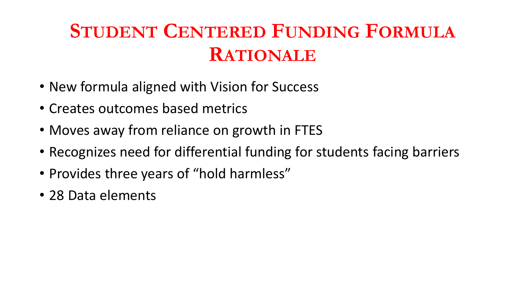## **STUDENT CENTERED FUNDING FORMULA RATIONALE**

- New formula aligned with Vision for Success
- Creates outcomes based metrics
- Moves away from reliance on growth in FTES
- Recognizes need for differential funding for students facing barriers
- Provides three years of "hold harmless"
- 28 Data elements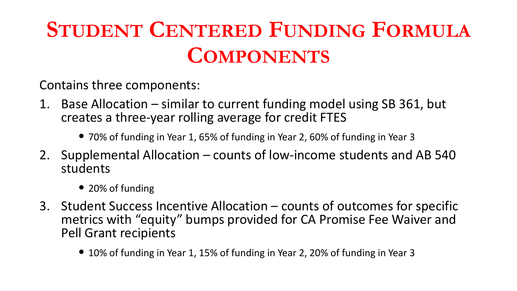# **STUDENT CENTERED FUNDING FORMULA COMPONENTS**

Contains three components:

- 1. Base Allocation similar to current funding model using SB 361, but creates a three-year rolling average for credit FTES
	- 70% of funding in Year 1, 65% of funding in Year 2, 60% of funding in Year 3
- 2. Supplemental Allocation counts of low-income students and AB 540 students
	- 20% of funding
- 3. Student Success Incentive Allocation counts of outcomes for specific metrics with "equity" bumps provided for CA Promise Fee Waiver and Pell Grant recipients
	- 10% of funding in Year 1, 15% of funding in Year 2, 20% of funding in Year 3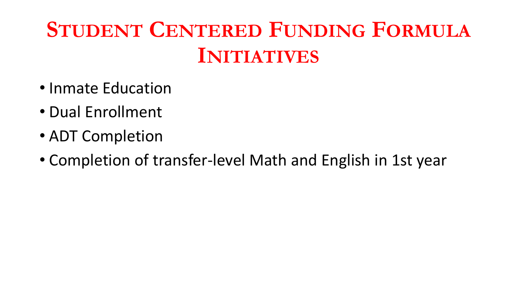# **STUDENT CENTERED FUNDING FORMULA INITIATIVES**

- Inmate Education
- Dual Enrollment
- ADT Completion
- Completion of transfer-level Math and English in 1st year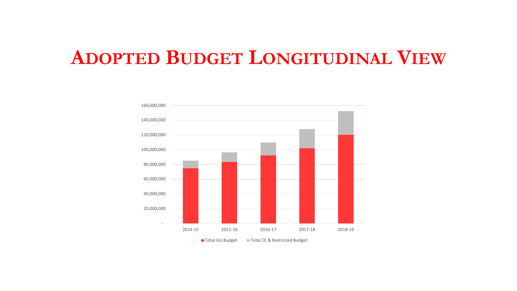#### **ADOPTED BUDGET LONGITUDINAL VIEW**

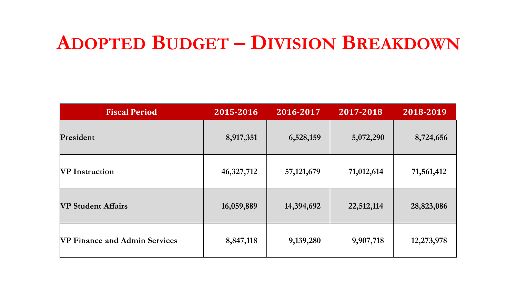#### **ADOPTED BUDGET – DIVISION BREAKDOWN**

| <b>Fiscal Period</b>                 | 2015-2016  | 2016-2017    | 2017-2018  | 2018-2019  |  |
|--------------------------------------|------------|--------------|------------|------------|--|
| President                            | 8,917,351  | 6,528,159    | 5,072,290  | 8,724,656  |  |
| <b>NP</b> Instruction                | 46,327,712 | 57, 121, 679 | 71,012,614 | 71,561,412 |  |
| <b>VP Student Affairs</b>            | 16,059,889 | 14,394,692   | 22,512,114 | 28,823,086 |  |
| <b>VP Finance and Admin Services</b> | 8,847,118  | 9,139,280    | 9,907,718  | 12,273,978 |  |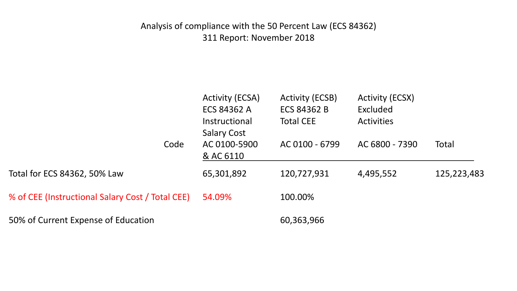#### Analysis of compliance with the 50 Percent Law (ECS 84362) 311 Report: November 2018

|                                                  | <b>Activity (ECSA)</b><br><b>ECS 84362 A</b><br>Instructional<br><b>Salary Cost</b> | Activity (ECSB)<br><b>ECS 84362 B</b><br><b>Total CEE</b> | <b>Activity (ECSX)</b><br>Excluded<br><b>Activities</b> |             |
|--------------------------------------------------|-------------------------------------------------------------------------------------|-----------------------------------------------------------|---------------------------------------------------------|-------------|
| Code                                             | AC 0100-5900<br>& AC 6110                                                           | AC 0100 - 6799                                            | AC 6800 - 7390                                          | Total       |
| Total for ECS 84362, 50% Law                     | 65,301,892                                                                          | 120,727,931                                               | 4,495,552                                               | 125,223,483 |
| % of CEE (Instructional Salary Cost / Total CEE) | 54.09%                                                                              | 100.00%                                                   |                                                         |             |
| 50% of Current Expense of Education              |                                                                                     | 60,363,966                                                |                                                         |             |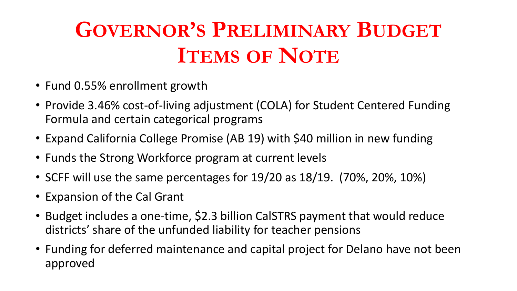# **GOVERNOR'S PRELIMINARY BUDGET ITEMS OF NOTE**

- Fund 0.55% enrollment growth
- Provide 3.46% cost-of-living adjustment (COLA) for Student Centered Funding Formula and certain categorical programs
- Expand California College Promise (AB 19) with \$40 million in new funding
- Funds the Strong Workforce program at current levels
- SCFF will use the same percentages for 19/20 as 18/19. (70%, 20%, 10%)
- Expansion of the Cal Grant
- Budget includes a one-time, \$2.3 billion CalSTRS payment that would reduce districts' share of the unfunded liability for teacher pensions
- Funding for deferred maintenance and capital project for Delano have not been approved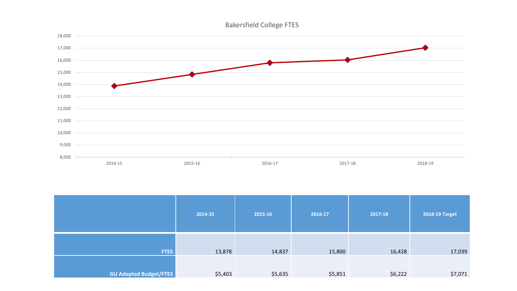



|                               | 2014-15 | 2015-16 | 2016-17 | 2017-18 | 2018-19 Target |  |
|-------------------------------|---------|---------|---------|---------|----------------|--|
| <b>FTES</b>                   | 13,878  | 14,837  | 15,800  | 16,428  | 17,039         |  |
| <b>GU Adopted Budget/FTES</b> | \$5,403 | \$5,635 | \$5,851 | \$6,222 | \$7,071        |  |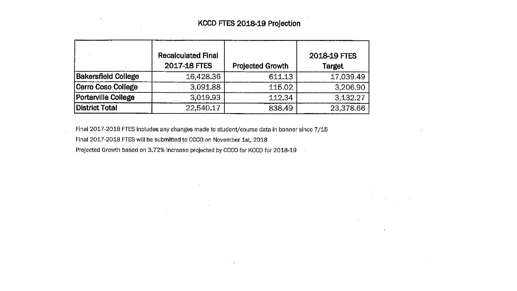$\sim$ 

**Contractor** 

 $\sim 100$  km  $^{-1}$ 

 $\label{eq:2.1} \frac{d\mathbf{r}}{d\mathbf{r}} = \frac{d\mathbf{r}}{d\mathbf{r}}\left(\mathbf{r} - \mathbf{r}\right) = \frac{d\mathbf{r}}{d\mathbf{r}}\left(\mathbf{r} - \mathbf{r}\right)$ 

 $\Delta \sim 10^{11}$  m  $^{-1}$ 

|                            | <b>Recalculated Final</b><br>2017-18 FTES | <b>Projected Growth</b> | 2018-19 FTES<br><b>Target</b> |
|----------------------------|-------------------------------------------|-------------------------|-------------------------------|
| <b>Bakersfield College</b> | 16,428.36                                 | 611.13                  | 17,039.49                     |
| Cerro Coso College         | 3,091.88                                  | 115.02                  | 3,206.90                      |
| <b>Porterville College</b> | 3.019.93                                  | 112.34                  | 3,132.27                      |
| District Total             | 22,540.17                                 | 838.49                  | 23,378.66                     |

Final 2017-2018 FTES includes any changes made to student/course data in banner since 7/15

 $\mathcal{L}(\mathcal{L})$  and  $\mathcal{L}(\mathcal{L})$  and  $\mathcal{L}(\mathcal{L})$ 

 $\mathcal{L}^{\text{max}}_{\text{max}}$  , where  $\mathcal{L}^{\text{max}}_{\text{max}}$ 

 $\mathcal{F}^{\mathcal{A}}(\mathcal{G})$ 

Final 2017-2018 FTES will be submitted to CCCO on November 1st, 2018

 $\mathcal{L}^{\mathcal{L}}(\mathcal{L}^{\mathcal{L}})$  . The contract of  $\mathcal{L}^{\mathcal{L}}(\mathcal{L}^{\mathcal{L}})$ 

 $\label{eq:2.1} \frac{d}{dt} \left( \frac{d}{dt} \right) = \frac{1}{2} \left( \frac{d}{dt} \right) \left( \frac{d}{dt} \right) \left( \frac{d}{dt} \right)$ 

Projected Growth based on 3.72% increase projected by CCCO for KCCD for 2018-19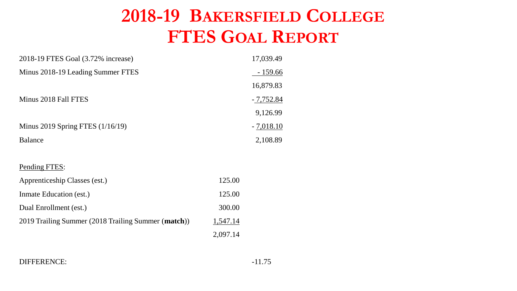#### **2018-19 BAKERSFIELD COLLEGE FTES GOAL REPORT**

| 2018-19 FTES Goal (3.72% increase)                  |          | 17,039.49   |
|-----------------------------------------------------|----------|-------------|
| Minus 2018-19 Leading Summer FTES                   |          | $-159.66$   |
|                                                     |          | 16,879.83   |
| Minus 2018 Fall FTES                                |          | $-7,752.84$ |
|                                                     |          | 9,126.99    |
| Minus 2019 Spring FTES (1/16/19)                    |          | $-7,018.10$ |
| <b>Balance</b>                                      |          | 2,108.89    |
|                                                     |          |             |
| Pending FTES:                                       |          |             |
| Apprenticeship Classes (est.)                       | 125.00   |             |
| Inmate Education (est.)                             | 125.00   |             |
| Dual Enrollment (est.)                              | 300.00   |             |
| 2019 Trailing Summer (2018 Trailing Summer (match)) | 1,547.14 |             |
|                                                     | 2,097.14 |             |

DIFFERENCE: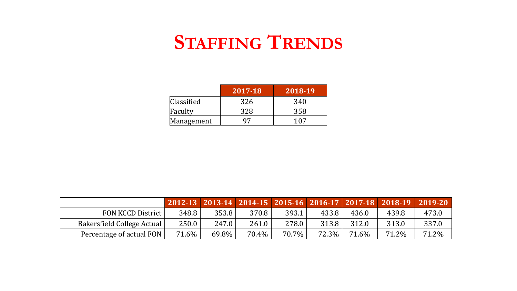### **STAFFING TRENDS**

|            | 2017-18 | 2018-19 |
|------------|---------|---------|
| Classified | 326     | 340     |
| Faculty    | 328     | 358     |
| Management |         | 107     |

|                            |          |       |          |          |          |       | 2012-13 2013-14 2014-15 2015-16 2016-17 2017-18 2018-19 2019-20 |       |
|----------------------------|----------|-------|----------|----------|----------|-------|-----------------------------------------------------------------|-------|
| FON KCCD District          | 348.8    | 353.8 | 370.8    | 393.1    | 433.8    | 436.0 | 439.8                                                           | 473.0 |
| Bakersfield College Actual | 250.0    | 247.0 | 261.0    | 278.0    | 313.8    | 312.0 | 313.0                                                           | 337.0 |
| Percentage of actual FON   | $71.6\%$ | 69.8% | $70.4\%$ | $70.7\%$ | $72.3\%$ | 71.6% | 71.2%                                                           | 71.2% |